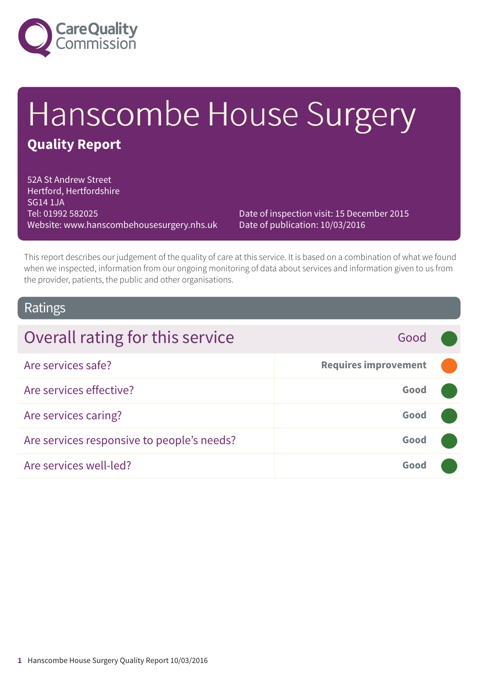

# Hanscombe House Surgery **Quality Report**

52A St Andrew Street Hertford, Hertfordshire SG14 1JA Tel: 01992 582025 Website: www.hanscombehousesurgery.nhs.uk

Date of inspection visit: 15 December 2015 Date of publication: 10/03/2016

This report describes our judgement of the quality of care at this service. It is based on a combination of what we found when we inspected, information from our ongoing monitoring of data about services and information given to us from the provider, patients, the public and other organisations.

### Ratings

| Overall rating for this service            | Good                        |  |
|--------------------------------------------|-----------------------------|--|
| Are services safe?                         | <b>Requires improvement</b> |  |
| Are services effective?                    | Good                        |  |
| Are services caring?                       | Good                        |  |
| Are services responsive to people's needs? | Good                        |  |
| Are services well-led?                     | Good                        |  |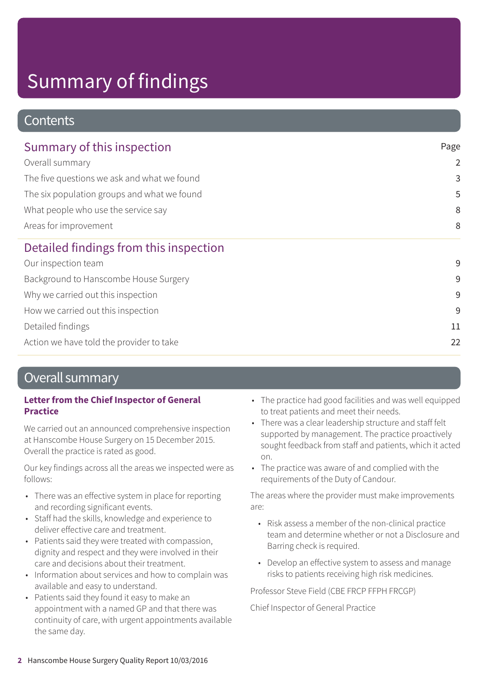# Summary of findings

### **Contents**

| Summary of this inspection                  | Page<br>$\overline{2}$<br>3<br>5<br>8<br>8 |
|---------------------------------------------|--------------------------------------------|
| Overall summary                             |                                            |
| The five questions we ask and what we found |                                            |
| The six population groups and what we found |                                            |
| What people who use the service say         |                                            |
| Areas for improvement                       |                                            |
| Detailed findings from this inspection      |                                            |
| Our inspection team                         | 9                                          |
| Background to Hanscombe House Surgery       | 9                                          |
| Why we carried out this inspection          | 9                                          |
| How we carried out this inspection          | 9                                          |
| Detailed findings                           | 11                                         |
| Action we have told the provider to take    | 22                                         |

### Overall summary

### **Letter from the Chief Inspector of General Practice**

We carried out an announced comprehensive inspection at Hanscombe House Surgery on 15 December 2015. Overall the practice is rated as good.

Our key findings across all the areas we inspected were as follows:

- There was an effective system in place for reporting and recording significant events.
- Staff had the skills, knowledge and experience to deliver effective care and treatment.
- Patients said they were treated with compassion, dignity and respect and they were involved in their care and decisions about their treatment.
- Information about services and how to complain was available and easy to understand.
- Patients said they found it easy to make an appointment with a named GP and that there was continuity of care, with urgent appointments available the same day.
- The practice had good facilities and was well equipped to treat patients and meet their needs.
- There was a clear leadership structure and staff felt supported by management. The practice proactively sought feedback from staff and patients, which it acted on.
- The practice was aware of and complied with the requirements of the Duty of Candour.

The areas where the provider must make improvements are:

- Risk assess a member of the non-clinical practice team and determine whether or not a Disclosure and Barring check is required.
- Develop an effective system to assess and manage risks to patients receiving high risk medicines.

Professor Steve Field (CBE FRCP FFPH FRCGP)

Chief Inspector of General Practice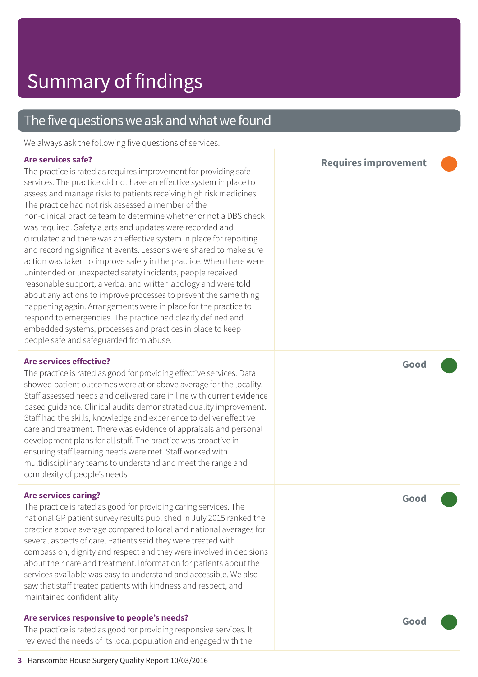### The five questions we ask and what we found

We always ask the following five questions of services.

#### **Are services safe?**

The practice is rated as requires improvement for providing safe services. The practice did not have an effective system in place to assess and manage risks to patients receiving high risk medicines. The practice had not risk assessed a member of the non-clinical practice team to determine whether or not a DBS check was required. Safety alerts and updates were recorded and circulated and there was an effective system in place for reporting and recording significant events. Lessons were shared to make sure action was taken to improve safety in the practice. When there were unintended or unexpected safety incidents, people received reasonable support, a verbal and written apology and were told about any actions to improve processes to prevent the same thing happening again. Arrangements were in place for the practice to respond to emergencies. The practice had clearly defined and embedded systems, processes and practices in place to keep people safe and safeguarded from abuse.

#### **Are services effective?**

The practice is rated as good for providing effective services. Data showed patient outcomes were at or above average for the locality. Staff assessed needs and delivered care in line with current evidence based guidance. Clinical audits demonstrated quality improvement. Staff had the skills, knowledge and experience to deliver effective care and treatment. There was evidence of appraisals and personal development plans for all staff. The practice was proactive in ensuring staff learning needs were met. Staff worked with multidisciplinary teams to understand and meet the range and complexity of people's needs

#### **Are services caring?**

The practice is rated as good for providing caring services. The national GP patient survey results published in July 2015 ranked the practice above average compared to local and national averages for several aspects of care. Patients said they were treated with compassion, dignity and respect and they were involved in decisions about their care and treatment. Information for patients about the services available was easy to understand and accessible. We also saw that staff treated patients with kindness and respect, and maintained confidentiality.

#### **Are services responsive to people's needs?**

The practice is rated as good for providing responsive services. It reviewed the needs of its local population and engaged with the





**Good –––**

**Good –––**

**Good –––**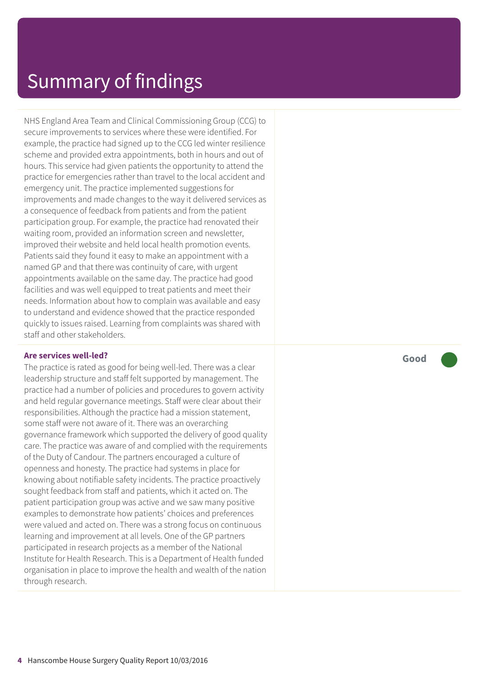## Summary of findings

NHS England Area Team and Clinical Commissioning Group (CCG) to secure improvements to services where these were identified. For example, the practice had signed up to the CCG led winter resilience scheme and provided extra appointments, both in hours and out of hours. This service had given patients the opportunity to attend the practice for emergencies rather than travel to the local accident and emergency unit. The practice implemented suggestions for improvements and made changes to the way it delivered services as a consequence of feedback from patients and from the patient participation group. For example, the practice had renovated their waiting room, provided an information screen and newsletter, improved their website and held local health promotion events. Patients said they found it easy to make an appointment with a named GP and that there was continuity of care, with urgent appointments available on the same day. The practice had good facilities and was well equipped to treat patients and meet their needs. Information about how to complain was available and easy to understand and evidence showed that the practice responded quickly to issues raised. Learning from complaints was shared with staff and other stakeholders.

#### **Are services well-led?**

The practice is rated as good for being well-led. There was a clear leadership structure and staff felt supported by management. The practice had a number of policies and procedures to govern activity and held regular governance meetings. Staff were clear about their responsibilities. Although the practice had a mission statement, some staff were not aware of it. There was an overarching governance framework which supported the delivery of good quality care. The practice was aware of and complied with the requirements of the Duty of Candour. The partners encouraged a culture of openness and honesty. The practice had systems in place for knowing about notifiable safety incidents. The practice proactively sought feedback from staff and patients, which it acted on. The patient participation group was active and we saw many positive examples to demonstrate how patients' choices and preferences were valued and acted on. There was a strong focus on continuous learning and improvement at all levels. One of the GP partners participated in research projects as a member of the National Institute for Health Research. This is a Department of Health funded organisation in place to improve the health and wealth of the nation through research.

**Good –––**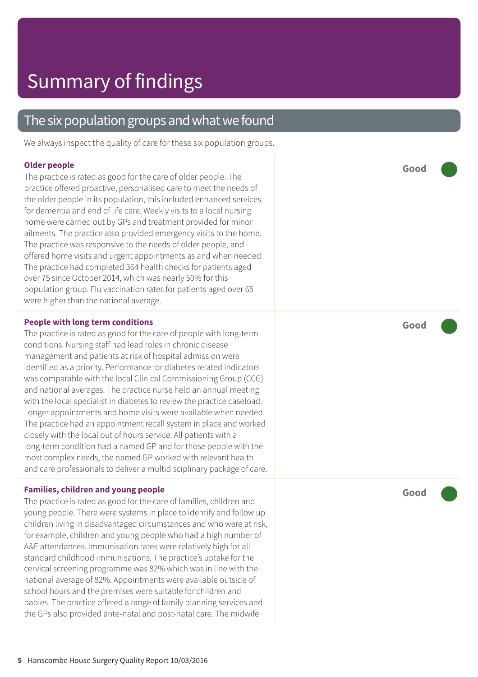### The six population groups and what we found

We always inspect the quality of care for these six population groups.

#### **Older people**

The practice is rated as good for the care of older people. The practice offered proactive, personalised care to meet the needs of the older people in its population, this included enhanced services for dementia and end of life care. Weekly visits to a local nursing home were carried out by GPs and treatment provided for minor ailments. The practice also provided emergency visits to the home. The practice was responsive to the needs of older people, and offered home visits and urgent appointments as and when needed. The practice had completed 364 health checks for patients aged over 75 since October 2014, which was nearly 50% for this population group. Flu vaccination rates for patients aged over 65 were higher than the national average.

#### **People with long term conditions**

The practice is rated as good for the care of people with long-term conditions. Nursing staff had lead roles in chronic disease management and patients at risk of hospital admission were identified as a priority. Performance for diabetes related indicators was comparable with the local Clinical Commissioning Group (CCG) and national averages. The practice nurse held an annual meeting with the local specialist in diabetes to review the practice caseload. Longer appointments and home visits were available when needed. The practice had an appointment recall system in place and worked closely with the local out of hours service. All patients with a long-term condition had a named GP and for those people with the most complex needs, the named GP worked with relevant health and care professionals to deliver a multidisciplinary package of care.

#### **Families, children and young people**

The practice is rated as good for the care of families, children and young people. There were systems in place to identify and follow up children living in disadvantaged circumstances and who were at risk, for example, children and young people who had a high number of A&E attendances. Immunisation rates were relatively high for all standard childhood immunisations. The practice's uptake for the cervical screening programme was 82% which was in line with the national average of 82%. Appointments were available outside of school hours and the premises were suitable for children and babies. The practice offered a range of family planning services and the GPs also provided ante-natal and post-natal care. The midwife

**Good –––**

**Good –––**

**Good –––**

**5** Hanscombe House Surgery Quality Report 10/03/2016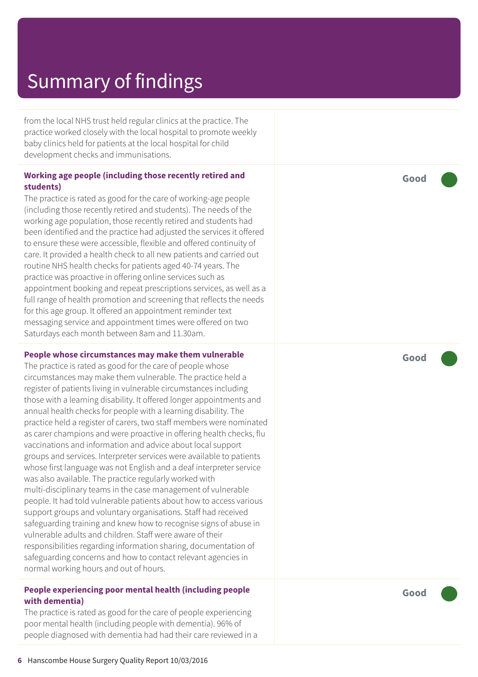# Summar y of findings

from the local NHS trust held regular clinics at the practice. The practic e worked closely with the local hospital t o promot e weekly baby clinics held for patients at the local hospital for child development checks and immunisations.

#### **Working ag e people (including those recently r etired and students)**

The practice is rated as good for the care of working-age people (including those recently retired and students). The needs of the working ag e population, those recently r etired and students had been identified and the practic e had adjusted the services it offered t o ensur e these wer e ac cessible, flexible and offered continuity of care. It provided a health check t o all ne w patients and carried out routine NHS health checks for patients aged 40-74 years. The practice was proactive in offering online services such as appointment booking and repeat prescriptions services, as well as a full rang e of health promotion and screening that reflects the needs for this ag e group. It offered an appointment reminder text messaging servic e and appointment times wer e offered on two Saturdays each month between 8am and 11.30am.

#### **People whose circumstances may mak e them vulnerable**

The practice is rated as good for the care of people whose circumstances may mak e them vulnerable. The practic e held a register of patients living in vulnerable circumstances including those with a learning disability. It offered longer appointments and annual health checks for people with a learning disability. The practice held a register of carers, two staff members were nominated as carer champions and wer e pr oactive in offering health checks, flu vaccinations and information and advic e about local support groups and services. Interpreter services were available to patients whose first language was not English and a deaf interpreter service was also available. The practic e r egularly worked with multi-disciplinar y t eams in the case management of vulnerable people. It had told vulnerable patients about how to access various support groups and voluntar y or ganisations. Staff had received saf eguarding training and kne w how t o recognise signs of abuse in vulnerable adults and children. Staff wer e awar e of their responsibilities regarding information sharing, documentation of saf eguarding concerns and how t o contact rele vant agencies in normal working hour s and out of hours.

#### **People experiencing poor mental health (including people with dementia)**

The practice is rated as good for the care of people experiencing poor mental health (including people with dementia). 96% of people diagnosed with dementia had had their car e r eviewed in a **Good –––**

**Good –––**

**Good –––**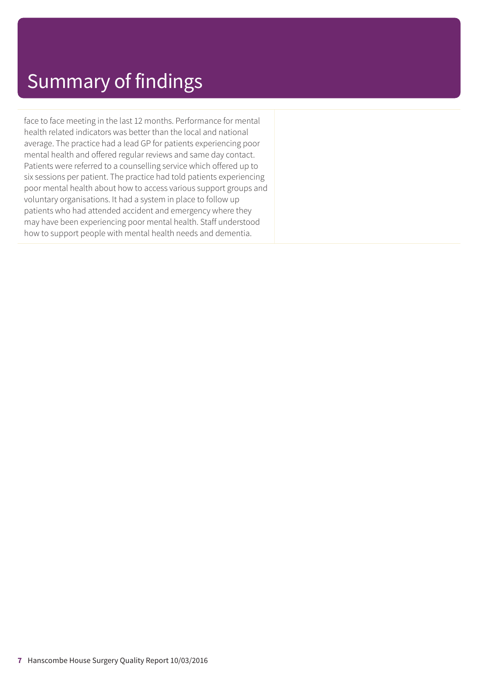## Summary of findings

face to face meeting in the last 12 months. Performance for mental health related indicators was better than the local and national average. The practice had a lead GP for patients experiencing poor mental health and offered regular reviews and same day contact. Patients were referred to a counselling service which offered up to six sessions per patient. The practice had told patients experiencing poor mental health about how to access various support groups and voluntary organisations. It had a system in place to follow up patients who had attended accident and emergency where they may have been experiencing poor mental health. Staff understood how to support people with mental health needs and dementia.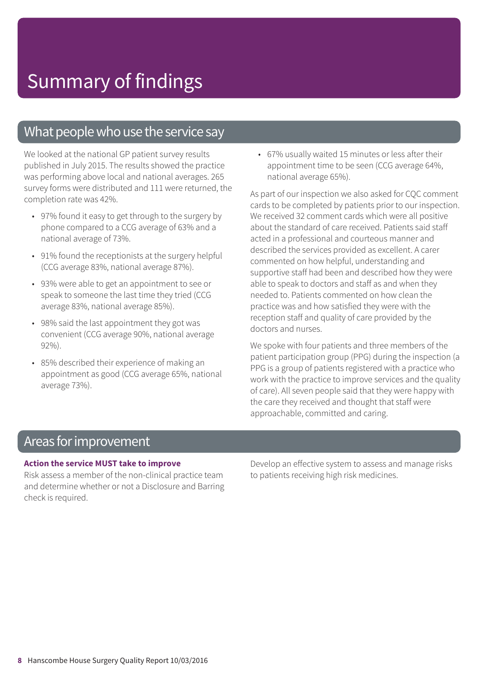### What people who use the service say

We looked at the national GP patient survey results published in July 2015. The results showed the practice was performing above local and national averages. 265 survey forms were distributed and 111 were returned, the completion rate was 42%.

- 97% found it easy to get through to the surgery by phone compared to a CCG average of 63% and a national average of 73%.
- 91% found the receptionists at the surgery helpful (CCG average 83%, national average 87%).
- 93% were able to get an appointment to see or speak to someone the last time they tried (CCG average 83%, national average 85%).
- 98% said the last appointment they got was convenient (CCG average 90%, national average 92%).
- 85% described their experience of making an appointment as good (CCG average 65%, national average 73%).

• 67% usually waited 15 minutes or less after their appointment time to be seen (CCG average 64%, national average 65%).

As part of our inspection we also asked for CQC comment cards to be completed by patients prior to our inspection. We received 32 comment cards which were all positive about the standard of care received. Patients said staff acted in a professional and courteous manner and described the services provided as excellent. A carer commented on how helpful, understanding and supportive staff had been and described how they were able to speak to doctors and staff as and when they needed to. Patients commented on how clean the practice was and how satisfied they were with the reception staff and quality of care provided by the doctors and nurses.

We spoke with four patients and three members of the patient participation group (PPG) during the inspection (a PPG is a group of patients registered with a practice who work with the practice to improve services and the quality of care). All seven people said that they were happy with the care they received and thought that staff were approachable, committed and caring.

### Areas forimprovement

#### **Action the service MUST take to improve**

Risk assess a member of the non-clinical practice team and determine whether or not a Disclosure and Barring check is required.

Develop an effective system to assess and manage risks to patients receiving high risk medicines.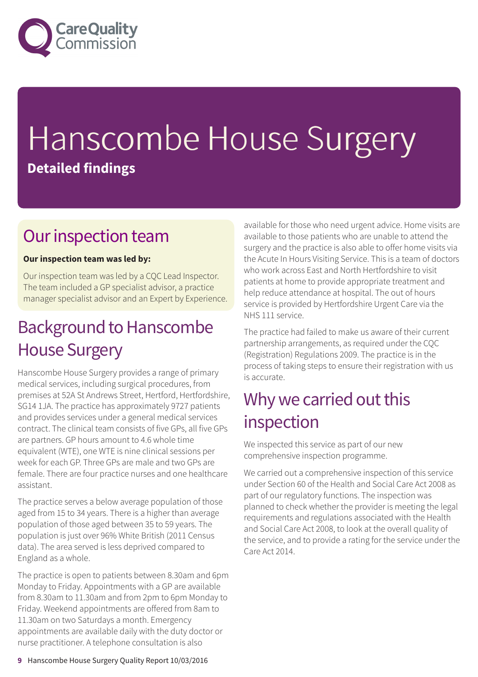

# Hanscombe House Surgery **Detailed findings**

### Our inspection team

### **Our inspection team was led by:**

Our inspection team was led by a CQC Lead Inspector. The team included a GP specialist advisor, a practice manager specialist advisor and an Expert by Experience.

## Background to Hanscombe House Surgery

Hanscombe House Surgery provides a range of primary medical services, including surgical procedures, from premises at 52A St Andrews Street, Hertford, Hertfordshire, SG14 1JA. The practice has approximately 9727 patients and provides services under a general medical services contract. The clinical team consists of five GPs, all five GPs are partners. GP hours amount to 4.6 whole time equivalent (WTE), one WTE is nine clinical sessions per week for each GP. Three GPs are male and two GPs are female. There are four practice nurses and one healthcare assistant.

The practice serves a below average population of those aged from 15 to 34 years. There is a higher than average population of those aged between 35 to 59 years. The population is just over 96% White British (2011 Census data). The area served is less deprived compared to England as a whole.

The practice is open to patients between 8.30am and 6pm Monday to Friday. Appointments with a GP are available from 8.30am to 11.30am and from 2pm to 6pm Monday to Friday. Weekend appointments are offered from 8am to 11.30am on two Saturdays a month. Emergency appointments are available daily with the duty doctor or nurse practitioner. A telephone consultation is also

available for those who need urgent advice. Home visits are available to those patients who are unable to attend the surgery and the practice is also able to offer home visits via the Acute In Hours Visiting Service. This is a team of doctors who work across East and North Hertfordshire to visit patients at home to provide appropriate treatment and help reduce attendance at hospital. The out of hours service is provided by Hertfordshire Urgent Care via the NHS 111 service.

The practice had failed to make us aware of their current partnership arrangements, as required under the CQC (Registration) Regulations 2009. The practice is in the process of taking steps to ensure their registration with us is accurate.

### Why we carried out this inspection

We inspected this service as part of our new comprehensive inspection programme.

We carried out a comprehensive inspection of this service under Section 60 of the Health and Social Care Act 2008 as part of our regulatory functions. The inspection was planned to check whether the provider is meeting the legal requirements and regulations associated with the Health and Social Care Act 2008, to look at the overall quality of the service, and to provide a rating for the service under the Care Act 2014.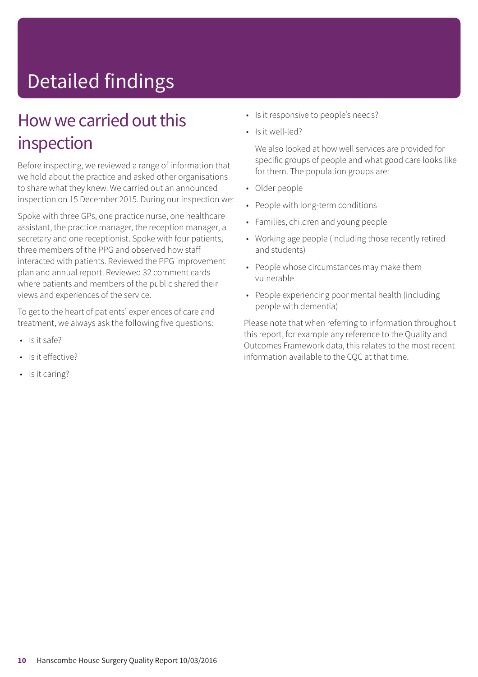# Detailed findings

### How we carried out this inspection

Before inspecting, we reviewed a range of information that we hold about the practice and asked other organisations to share what they knew. We carried out an announced inspection on 15 December 2015. During our inspection we:

Spoke with three GPs, one practice nurse, one healthcare assistant, the practice manager, the reception manager, a secretary and one receptionist. Spoke with four patients, three members of the PPG and observed how staff interacted with patients. Reviewed the PPG improvement plan and annual report. Reviewed 32 comment cards where patients and members of the public shared their views and experiences of the service.

To get to the heart of patients' experiences of care and treatment, we always ask the following five questions:

- Is it safe?
- Is it effective?
- Is it caring?
- Is it responsive to people's needs?
- Is it well-led?

We also looked at how well services are provided for specific groups of people and what good care looks like for them. The population groups are:

- Older people
- People with long-term conditions
- Families, children and young people
- Working age people (including those recently retired and students)
- People whose circumstances may make them vulnerable
- People experiencing poor mental health (including people with dementia)

Please note that when referring to information throughout this report, for example any reference to the Quality and Outcomes Framework data, this relates to the most recent information available to the CQC at that time.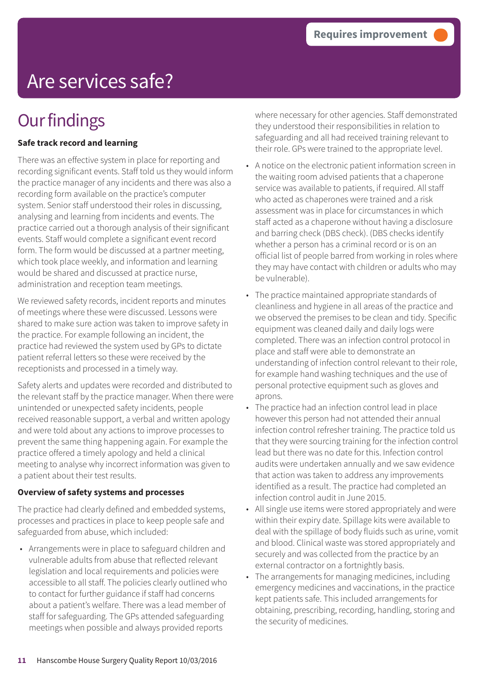# Are services safe?

# **Our findings**

### **Safe track record and learning**

There was an effective system in place for reporting and recording significant events. Staff told us they would inform the practice manager of any incidents and there was also a recording form available on the practice's computer system. Senior staff understood their roles in discussing, analysing and learning from incidents and events. The practice carried out a thorough analysis of their significant events. Staff would complete a significant event record form. The form would be discussed at a partner meeting, which took place weekly, and information and learning would be shared and discussed at practice nurse, administration and reception team meetings.

We reviewed safety records, incident reports and minutes of meetings where these were discussed. Lessons were shared to make sure action was taken to improve safety in the practice. For example following an incident, the practice had reviewed the system used by GPs to dictate patient referral letters so these were received by the receptionists and processed in a timely way.

Safety alerts and updates were recorded and distributed to the relevant staff by the practice manager. When there were unintended or unexpected safety incidents, people received reasonable support, a verbal and written apology and were told about any actions to improve processes to prevent the same thing happening again. For example the practice offered a timely apology and held a clinical meeting to analyse why incorrect information was given to a patient about their test results.

### **Overview of safety systems and processes**

The practice had clearly defined and embedded systems, processes and practices in place to keep people safe and safeguarded from abuse, which included:

• Arrangements were in place to safeguard children and vulnerable adults from abuse that reflected relevant legislation and local requirements and policies were accessible to all staff. The policies clearly outlined who to contact for further guidance if staff had concerns about a patient's welfare. There was a lead member of staff for safeguarding. The GPs attended safeguarding meetings when possible and always provided reports

where necessary for other agencies. Staff demonstrated they understood their responsibilities in relation to safeguarding and all had received training relevant to their role. GPs were trained to the appropriate level.

- A notice on the electronic patient information screen in the waiting room advised patients that a chaperone service was available to patients, if required. All staff who acted as chaperones were trained and a risk assessment was in place for circumstances in which staff acted as a chaperone without having a disclosure and barring check (DBS check). (DBS checks identify whether a person has a criminal record or is on an official list of people barred from working in roles where they may have contact with children or adults who may be vulnerable).
- The practice maintained appropriate standards of cleanliness and hygiene in all areas of the practice and we observed the premises to be clean and tidy. Specific equipment was cleaned daily and daily logs were completed. There was an infection control protocol in place and staff were able to demonstrate an understanding of infection control relevant to their role, for example hand washing techniques and the use of personal protective equipment such as gloves and aprons.
- The practice had an infection control lead in place however this person had not attended their annual infection control refresher training. The practice told us that they were sourcing training for the infection control lead but there was no date for this. Infection control audits were undertaken annually and we saw evidence that action was taken to address any improvements identified as a result. The practice had completed an infection control audit in June 2015.
- All single use items were stored appropriately and were within their expiry date. Spillage kits were available to deal with the spillage of body fluids such as urine, vomit and blood. Clinical waste was stored appropriately and securely and was collected from the practice by an external contractor on a fortnightly basis.
- The arrangements for managing medicines, including emergency medicines and vaccinations, in the practice kept patients safe. This included arrangements for obtaining, prescribing, recording, handling, storing and the security of medicines.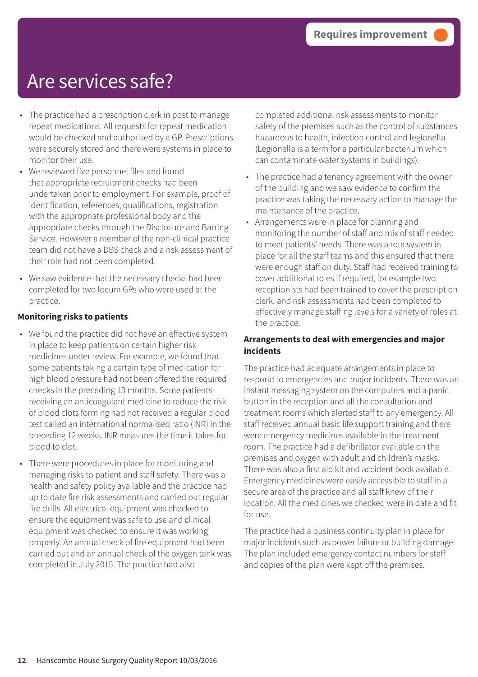# Are services safe?

- The practice had a prescription clerk in post to manage repeat medications. All requests for repeat medication would be checked and authorised by a GP. Prescriptions were securely stored and there were systems in place to monitor their use.
- We reviewed five personnel files and found that appropriate recruitment checks had been undertaken prior to employment. For example, proof of identification, references, qualifications, registration with the appropriate professional body and the appropriate checks through the Disclosure and Barring Service. However a member of the non-clinical practice team did not have a DBS check and a risk assessment of their role had not been completed.
- We saw evidence that the necessary checks had been completed for two locum GPs who were used at the practice.

#### **Monitoring risks to patients**

- We found the practice did not have an effective system in place to keep patients on certain higher risk medicines under review. For example, we found that some patients taking a certain type of medication for high blood pressure had not been offered the required checks in the preceding 13 months. Some patients receiving an anticoagulant medicine to reduce the risk of blood clots forming had not received a regular blood test called an international normalised ratio (INR) in the preceding 12 weeks. INR measures the time it takes for blood to clot.
- There were procedures in place for monitoring and managing risks to patient and staff safety. There was a health and safety policy available and the practice had up to date fire risk assessments and carried out regular fire drills. All electrical equipment was checked to ensure the equipment was safe to use and clinical equipment was checked to ensure it was working properly. An annual check of fire equipment had been carried out and an annual check of the oxygen tank was completed in July 2015. The practice had also

completed additional risk assessments to monitor safety of the premises such as the control of substances hazardous to health, infection control and legionella (Legionella is a term for a particular bacterium which can contaminate water systems in buildings).

- The practice had a tenancy agreement with the owner of the building and we saw evidence to confirm the practice was taking the necessary action to manage the maintenance of the practice.
- Arrangements were in place for planning and monitoring the number of staff and mix of staff needed to meet patients' needs. There was a rota system in place for all the staff teams and this ensured that there were enough staff on duty. Staff had received training to cover additional roles if required, for example two receptionists had been trained to cover the prescription clerk, and risk assessments had been completed to effectively manage staffing levels for a variety of roles at the practice.

#### **Arrangements to deal with emergencies and major incidents**

The practice had adequate arrangements in place to respond to emergencies and major incidents. There was an instant messaging system on the computers and a panic button in the reception and all the consultation and treatment rooms which alerted staff to any emergency. All staff received annual basic life support training and there were emergency medicines available in the treatment room. The practice had a defibrillator available on the premises and oxygen with adult and children's masks. There was also a first aid kit and accident book available. Emergency medicines were easily accessible to staff in a secure area of the practice and all staff knew of their location. All the medicines we checked were in date and fit for use.

The practice had a business continuity plan in place for major incidents such as power failure or building damage. The plan included emergency contact numbers for staff and copies of the plan were kept off the premises.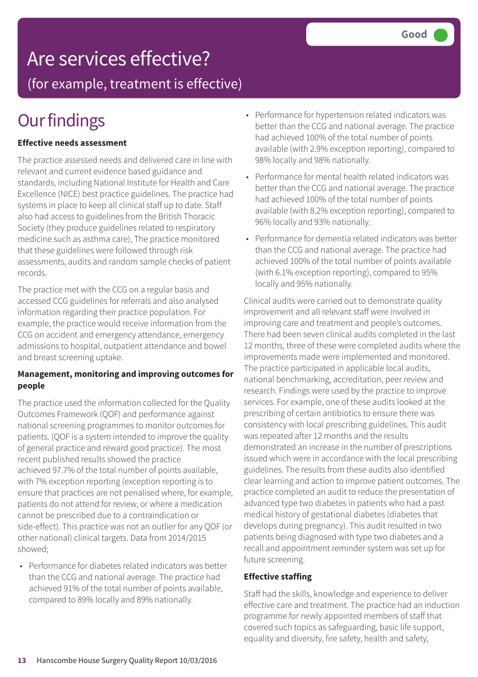# Are services effective?

(for example, treatment is effective)

# **Our findings**

### **Effective needs assessment**

The practice assessed needs and delivered care in line with relevant and current evidence based guidance and standards, including National Institute for Health and Care Excellence (NICE) best practice guidelines. The practice had systems in place to keep all clinical staff up to date. Staff also had access to guidelines from the British Thoracic Society (they produce guidelines related to respiratory medicine such as asthma care), The practice monitored that these guidelines were followed through risk assessments, audits and random sample checks of patient records.

The practice met with the CCG on a regular basis and accessed CCG guidelines for referrals and also analysed information regarding their practice population. For example, the practice would receive information from the CCG on accident and emergency attendance, emergency admissions to hospital, outpatient attendance and bowel and breast screening uptake.

#### **Management, monitoring and improving outcomes for people**

The practice used the information collected for the Quality Outcomes Framework (QOF) and performance against national screening programmes to monitor outcomes for patients. (QOF is a system intended to improve the quality of general practice and reward good practice). The most recent published results showed the practice achieved 97.7% of the total number of points available, with 7% exception reporting (exception reporting is to ensure that practices are not penalised where, for example, patients do not attend for review, or where a medication cannot be prescribed due to a contraindication or side-effect). This practice was not an outlier for any QOF (or other national) clinical targets. Data from 2014/2015 showed;

• Performance for diabetes related indicators was better than the CCG and national average. The practice had achieved 91% of the total number of points available, compared to 89% locally and 89% nationally.

- Performance for hypertension related indicators was better than the CCG and national average. The practice had achieved 100% of the total number of points available (with 2.9% exception reporting), compared to 98% locally and 98% nationally.
- Performance for mental health related indicators was better than the CCG and national average. The practice had achieved 100% of the total number of points available (with 8.2% exception reporting), compared to 96% locally and 93% nationally.
- Performance for dementia related indicators was better than the CCG and national average. The practice had achieved 100% of the total number of points available (with 6.1% exception reporting), compared to 95% locally and 95% nationally.

Clinical audits were carried out to demonstrate quality improvement and all relevant staff were involved in improving care and treatment and people's outcomes. There had been seven clinical audits completed in the last 12 months, three of these were completed audits where the improvements made were implemented and monitored. The practice participated in applicable local audits, national benchmarking, accreditation, peer review and research. Findings were used by the practice to improve services. For example, one of these audits looked at the prescribing of certain antibiotics to ensure there was consistency with local prescribing guidelines. This audit was repeated after 12 months and the results demonstrated an increase in the number of prescriptions issued which were in accordance with the local prescribing guidelines. The results from these audits also identified clear learning and action to improve patient outcomes. The practice completed an audit to reduce the presentation of advanced type two diabetes in patients who had a past medical history of gestational diabetes (diabetes that develops during pregnancy). This audit resulted in two patients being diagnosed with type two diabetes and a recall and appointment reminder system was set up for future screening.

#### **Effective staffing**

Staff had the skills, knowledge and experience to deliver effective care and treatment. The practice had an induction programme for newly appointed members of staff that covered such topics as safeguarding, basic life support, equality and diversity, fire safety, health and safety,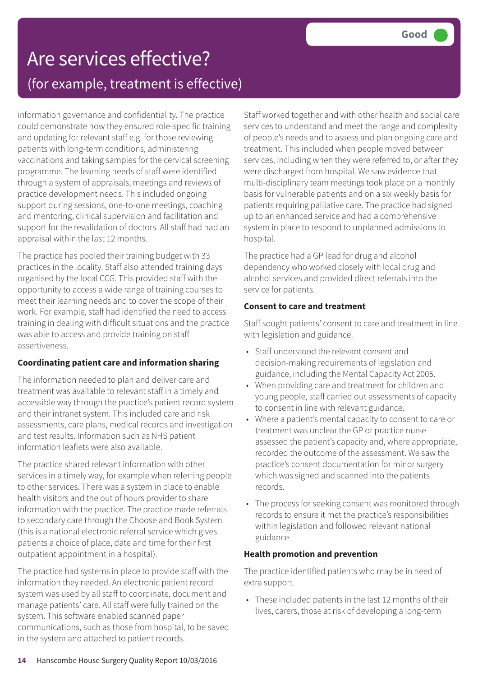## Are services effective? (for example, treatment is effective)

information governance and confidentiality. The practice could demonstrate how they ensured role-specific training and updating for relevant staff e.g. for those reviewing patients with long-term conditions, administering vaccinations and taking samples for the cervical screening programme. The learning needs of staff were identified through a system of appraisals, meetings and reviews of practice development needs. This included ongoing support during sessions, one-to-one meetings, coaching and mentoring, clinical supervision and facilitation and support for the revalidation of doctors. All staff had had an appraisal within the last 12 months.

The practice has pooled their training budget with 33 practices in the locality. Staff also attended training days organised by the local CCG. This provided staff with the opportunity to access a wide range of training courses to meet their learning needs and to cover the scope of their work. For example, staff had identified the need to access training in dealing with difficult situations and the practice was able to access and provide training on staff assertiveness.

### **Coordinating patient care and information sharing**

The information needed to plan and deliver care and treatment was available to relevant staff in a timely and accessible way through the practice's patient record system and their intranet system. This included care and risk assessments, care plans, medical records and investigation and test results. Information such as NHS patient information leaflets were also available.

The practice shared relevant information with other services in a timely way, for example when referring people to other services. There was a system in place to enable health visitors and the out of hours provider to share information with the practice. The practice made referrals to secondary care through the Choose and Book System (this is a national electronic referral service which gives patients a choice of place, date and time for their first outpatient appointment in a hospital).

The practice had systems in place to provide staff with the information they needed. An electronic patient record system was used by all staff to coordinate, document and manage patients' care. All staff were fully trained on the system. This software enabled scanned paper communications, such as those from hospital, to be saved in the system and attached to patient records.

Staff worked together and with other health and social care services to understand and meet the range and complexity of people's needs and to assess and plan ongoing care and treatment. This included when people moved between services, including when they were referred to, or after they were discharged from hospital. We saw evidence that multi-disciplinary team meetings took place on a monthly basis for vulnerable patients and on a six weekly basis for patients requiring palliative care. The practice had signed up to an enhanced service and had a comprehensive system in place to respond to unplanned admissions to hospital.

The practice had a GP lead for drug and alcohol dependency who worked closely with local drug and alcohol services and provided direct referrals into the service for patients.

### **Consent to care and treatment**

Staff sought patients' consent to care and treatment in line with legislation and guidance.

- Staff understood the relevant consent and decision-making requirements of legislation and guidance, including the Mental Capacity Act 2005.
- When providing care and treatment for children and young people, staff carried out assessments of capacity to consent in line with relevant guidance.
- Where a patient's mental capacity to consent to care or treatment was unclear the GP or practice nurse assessed the patient's capacity and, where appropriate, recorded the outcome of the assessment. We saw the practice's consent documentation for minor surgery which was signed and scanned into the patients records.
- The process for seeking consent was monitored through records to ensure it met the practice's responsibilities within legislation and followed relevant national guidance.

### **Health promotion and prevention**

The practice identified patients who may be in need of extra support.

• These included patients in the last 12 months of their lives, carers, those at risk of developing a long-term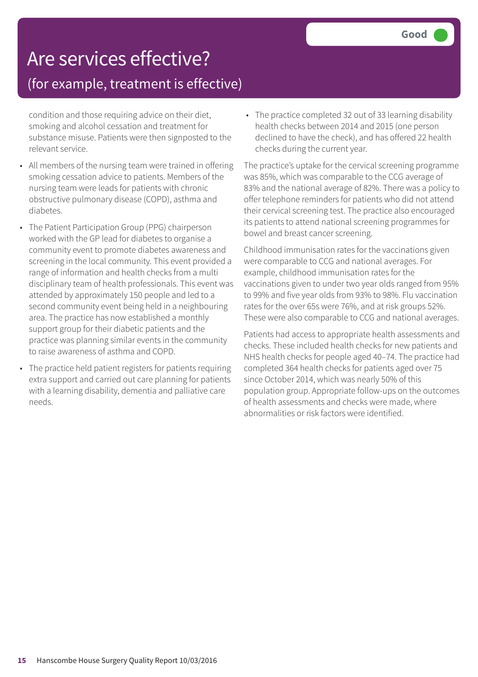# Are services effective?

### (for example, treatment is effective)

condition and those requiring advice on their diet, smoking and alcohol cessation and treatment for substance misuse. Patients were then signposted to the relevant service.

- All members of the nursing team were trained in offering smoking cessation advice to patients. Members of the nursing team were leads for patients with chronic obstructive pulmonary disease (COPD), asthma and diabetes.
- The Patient Participation Group (PPG) chairperson worked with the GP lead for diabetes to organise a community event to promote diabetes awareness and screening in the local community. This event provided a range of information and health checks from a multi disciplinary team of health professionals. This event was attended by approximately 150 people and led to a second community event being held in a neighbouring area. The practice has now established a monthly support group for their diabetic patients and the practice was planning similar events in the community to raise awareness of asthma and COPD.
- The practice held patient registers for patients requiring extra support and carried out care planning for patients with a learning disability, dementia and palliative care needs.

• The practice completed 32 out of 33 learning disability health checks between 2014 and 2015 (one person declined to have the check), and has offered 22 health checks during the current year.

The practice's uptake for the cervical screening programme was 85%, which was comparable to the CCG average of 83% and the national average of 82%. There was a policy to offer telephone reminders for patients who did not attend their cervical screening test. The practice also encouraged its patients to attend national screening programmes for bowel and breast cancer screening.

Childhood immunisation rates for the vaccinations given were comparable to CCG and national averages. For example, childhood immunisation rates for the vaccinations given to under two year olds ranged from 95% to 99% and five year olds from 93% to 98%. Flu vaccination rates for the over 65s were 76%, and at risk groups 52%. These were also comparable to CCG and national averages.

Patients had access to appropriate health assessments and checks. These included health checks for new patients and NHS health checks for people aged 40–74. The practice had completed 364 health checks for patients aged over 75 since October 2014, which was nearly 50% of this population group. Appropriate follow-ups on the outcomes of health assessments and checks were made, where abnormalities or risk factors were identified.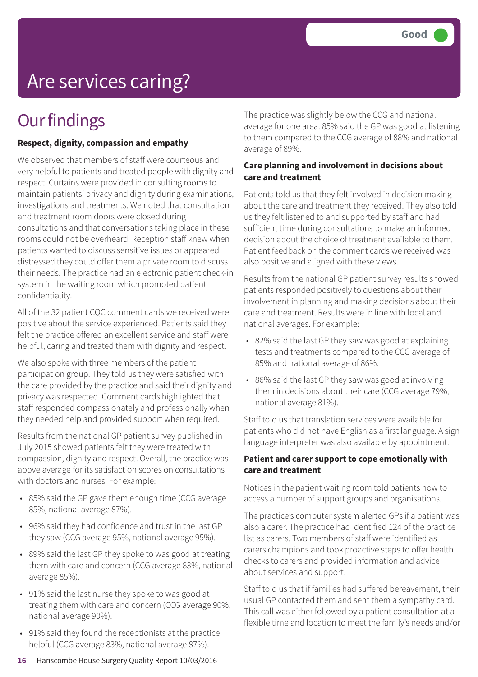# Are services caring?

## **Our findings**

#### **Respect, dignity, compassion and empathy**

We observed that members of staff were courteous and very helpful to patients and treated people with dignity and respect. Curtains were provided in consulting rooms to maintain patients' privacy and dignity during examinations, investigations and treatments. We noted that consultation and treatment room doors were closed during consultations and that conversations taking place in these rooms could not be overheard. Reception staff knew when patients wanted to discuss sensitive issues or appeared distressed they could offer them a private room to discuss their needs. The practice had an electronic patient check-in system in the waiting room which promoted patient confidentiality.

All of the 32 patient CQC comment cards we received were positive about the service experienced. Patients said they felt the practice offered an excellent service and staff were helpful, caring and treated them with dignity and respect.

We also spoke with three members of the patient participation group. They told us they were satisfied with the care provided by the practice and said their dignity and privacy was respected. Comment cards highlighted that staff responded compassionately and professionally when they needed help and provided support when required.

Results from the national GP patient survey published in July 2015 showed patients felt they were treated with compassion, dignity and respect. Overall, the practice was above average for its satisfaction scores on consultations with doctors and nurses. For example:

- 85% said the GP gave them enough time (CCG average 85%, national average 87%).
- 96% said they had confidence and trust in the last GP they saw (CCG average 95%, national average 95%).
- 89% said the last GP they spoke to was good at treating them with care and concern (CCG average 83%, national average 85%).
- 91% said the last nurse they spoke to was good at treating them with care and concern (CCG average 90%, national average 90%).
- 91% said they found the receptionists at the practice helpful (CCG average 83%, national average 87%).

The practice was slightly below the CCG and national average for one area. 85% said the GP was good at listening to them compared to the CCG average of 88% and national average of 89%.

#### **Care planning and involvement in decisions about care and treatment**

Patients told us that they felt involved in decision making about the care and treatment they received. They also told us they felt listened to and supported by staff and had sufficient time during consultations to make an informed decision about the choice of treatment available to them. Patient feedback on the comment cards we received was also positive and aligned with these views.

Results from the national GP patient survey results showed patients responded positively to questions about their involvement in planning and making decisions about their care and treatment. Results were in line with local and national averages. For example:

- 82% said the last GP they saw was good at explaining tests and treatments compared to the CCG average of 85% and national average of 86%.
- 86% said the last GP they saw was good at involving them in decisions about their care (CCG average 79%, national average 81%).

Staff told us that translation services were available for patients who did not have English as a first language. A sign language interpreter was also available by appointment.

#### **Patient and carer support to cope emotionally with care and treatment**

Notices in the patient waiting room told patients how to access a number of support groups and organisations.

The practice's computer system alerted GPs if a patient was also a carer. The practice had identified 124 of the practice list as carers. Two members of staff were identified as carers champions and took proactive steps to offer health checks to carers and provided information and advice about services and support.

Staff told us that if families had suffered bereavement, their usual GP contacted them and sent them a sympathy card. This call was either followed by a patient consultation at a flexible time and location to meet the family's needs and/or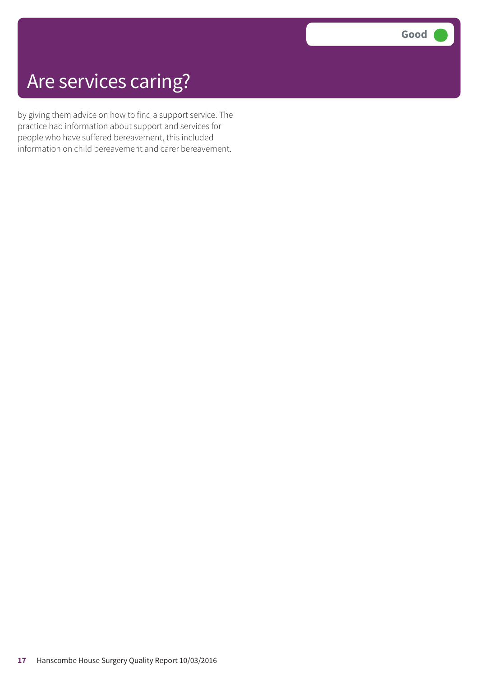# Are services caring?

by giving them advice on how to find a support service. The practice had information about support and services for people who have suffered bereavement, this included information on child bereavement and carer bereavement.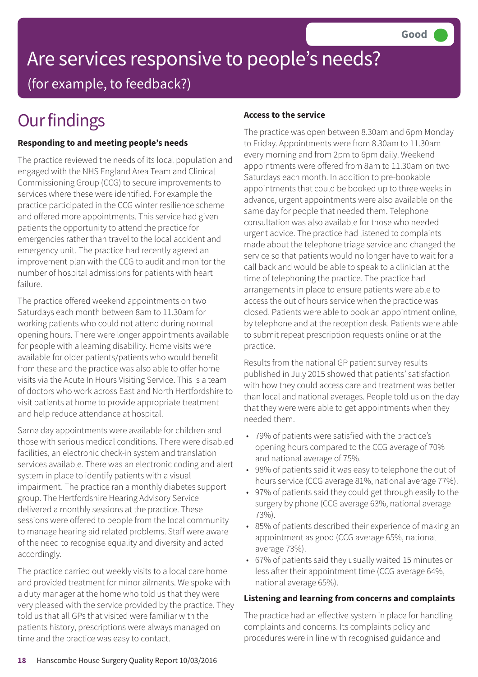# Are services responsive to people's needs? (for example, to feedback?)

# **Our findings**

### **Responding to and meeting people's needs**

The practice reviewed the needs of its local population and engaged with the NHS England Area Team and Clinical Commissioning Group (CCG) to secure improvements to services where these were identified. For example the practice participated in the CCG winter resilience scheme and offered more appointments. This service had given patients the opportunity to attend the practice for emergencies rather than travel to the local accident and emergency unit. The practice had recently agreed an improvement plan with the CCG to audit and monitor the number of hospital admissions for patients with heart failure.

The practice offered weekend appointments on two Saturdays each month between 8am to 11.30am for working patients who could not attend during normal opening hours. There were longer appointments available for people with a learning disability. Home visits were available for older patients/patients who would benefit from these and the practice was also able to offer home visits via the Acute In Hours Visiting Service. This is a team of doctors who work across East and North Hertfordshire to visit patients at home to provide appropriate treatment and help reduce attendance at hospital.

Same day appointments were available for children and those with serious medical conditions. There were disabled facilities, an electronic check-in system and translation services available. There was an electronic coding and alert system in place to identify patients with a visual impairment. The practice ran a monthly diabetes support group. The Hertfordshire Hearing Advisory Service delivered a monthly sessions at the practice. These sessions were offered to people from the local community to manage hearing aid related problems. Staff were aware of the need to recognise equality and diversity and acted accordingly.

The practice carried out weekly visits to a local care home and provided treatment for minor ailments. We spoke with a duty manager at the home who told us that they were very pleased with the service provided by the practice. They told us that all GPs that visited were familiar with the patients history, prescriptions were always managed on time and the practice was easy to contact.

### **Access to the service**

The practice was open between 8.30am and 6pm Monday to Friday. Appointments were from 8.30am to 11.30am every morning and from 2pm to 6pm daily. Weekend appointments were offered from 8am to 11.30am on two Saturdays each month. In addition to pre-bookable appointments that could be booked up to three weeks in advance, urgent appointments were also available on the same day for people that needed them. Telephone consultation was also available for those who needed urgent advice. The practice had listened to complaints made about the telephone triage service and changed the service so that patients would no longer have to wait for a call back and would be able to speak to a clinician at the time of telephoning the practice. The practice had arrangements in place to ensure patients were able to access the out of hours service when the practice was closed. Patients were able to book an appointment online, by telephone and at the reception desk. Patients were able to submit repeat prescription requests online or at the practice.

Results from the national GP patient survey results published in July 2015 showed that patients' satisfaction with how they could access care and treatment was better than local and national averages. People told us on the day that they were were able to get appointments when they needed them.

- 79% of patients were satisfied with the practice's opening hours compared to the CCG average of 70% and national average of 75%.
- 98% of patients said it was easy to telephone the out of hours service (CCG average 81%, national average 77%).
- 97% of patients said they could get through easily to the surgery by phone (CCG average 63%, national average 73%).
- 85% of patients described their experience of making an appointment as good (CCG average 65%, national average 73%).
- 67% of patients said they usually waited 15 minutes or less after their appointment time (CCG average 64%, national average 65%).

### **Listening and learning from concerns and complaints**

The practice had an effective system in place for handling complaints and concerns. Its complaints policy and procedures were in line with recognised guidance and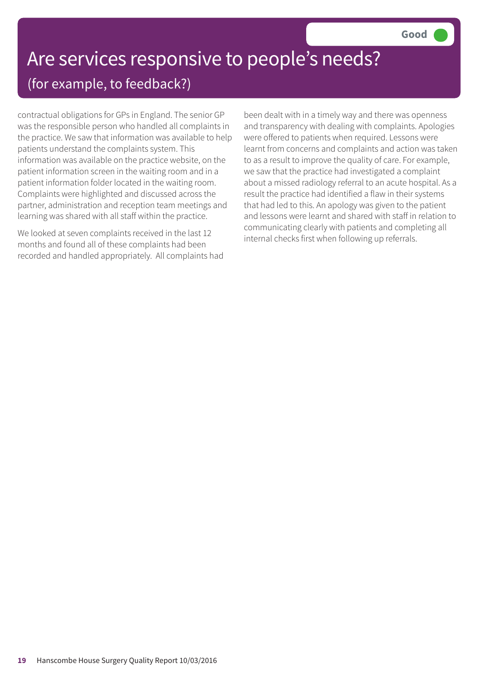## Are services responsive to people's needs? (for example, to feedback?)

contractual obligations for GPs in England. The senior GP was the responsible person who handled all complaints in the practice. We saw that information was available to help patients understand the complaints system. This information was available on the practice website, on the patient information screen in the waiting room and in a patient information folder located in the waiting room. Complaints were highlighted and discussed across the partner, administration and reception team meetings and learning was shared with all staff within the practice.

We looked at seven complaints received in the last 12 months and found all of these complaints had been recorded and handled appropriately. All complaints had been dealt with in a timely way and there was openness and transparency with dealing with complaints. Apologies were offered to patients when required. Lessons were learnt from concerns and complaints and action was taken to as a result to improve the quality of care. For example, we saw that the practice had investigated a complaint about a missed radiology referral to an acute hospital. As a result the practice had identified a flaw in their systems that had led to this. An apology was given to the patient and lessons were learnt and shared with staff in relation to communicating clearly with patients and completing all internal checks first when following up referrals.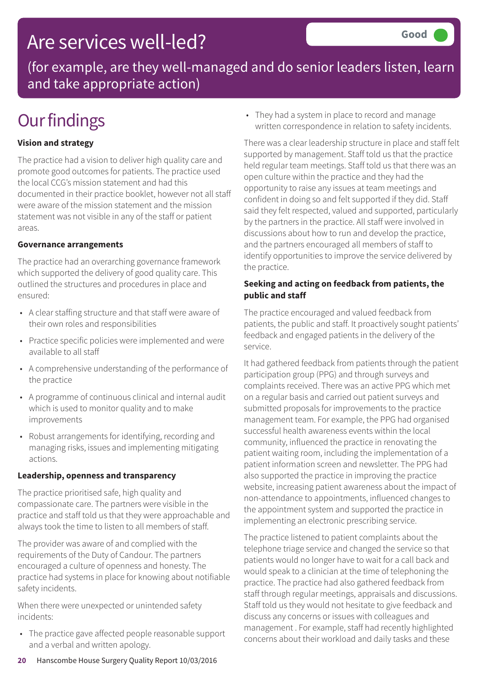## Are services well-led?

(for example, are they well-managed and do senior leaders listen, learn and take appropriate action)

# **Our findings**

### **Vision and strategy**

The practice had a vision to deliver high quality care and promote good outcomes for patients. The practice used the local CCG's mission statement and had this documented in their practice booklet, however not all staff were aware of the mission statement and the mission statement was not visible in any of the staff or patient areas.

#### **Governance arrangements**

The practice had an overarching governance framework which supported the delivery of good quality care. This outlined the structures and procedures in place and ensured:

- A clear staffing structure and that staff were aware of their own roles and responsibilities
- Practice specific policies were implemented and were available to all staff
- A comprehensive understanding of the performance of the practice
- A programme of continuous clinical and internal audit which is used to monitor quality and to make improvements
- Robust arrangements for identifying, recording and managing risks, issues and implementing mitigating actions.

#### **Leadership, openness and transparency**

The practice prioritised safe, high quality and compassionate care. The partners were visible in the practice and staff told us that they were approachable and always took the time to listen to all members of staff.

The provider was aware of and complied with the requirements of the Duty of Candour. The partners encouraged a culture of openness and honesty. The practice had systems in place for knowing about notifiable safety incidents.

When there were unexpected or unintended safety incidents:

• The practice gave affected people reasonable support and a verbal and written apology.

• They had a system in place to record and manage written correspondence in relation to safety incidents.

There was a clear leadership structure in place and staff felt supported by management. Staff told us that the practice held regular team meetings. Staff told us that there was an open culture within the practice and they had the opportunity to raise any issues at team meetings and confident in doing so and felt supported if they did. Staff said they felt respected, valued and supported, particularly by the partners in the practice. All staff were involved in discussions about how to run and develop the practice, and the partners encouraged all members of staff to identify opportunities to improve the service delivered by the practice.

### **Seeking and acting on feedback from patients, the public and staff**

The practice encouraged and valued feedback from patients, the public and staff. It proactively sought patients' feedback and engaged patients in the delivery of the service.

It had gathered feedback from patients through the patient participation group (PPG) and through surveys and complaints received. There was an active PPG which met on a regular basis and carried out patient surveys and submitted proposals for improvements to the practice management team. For example, the PPG had organised successful health awareness events within the local community, influenced the practice in renovating the patient waiting room, including the implementation of a patient information screen and newsletter. The PPG had also supported the practice in improving the practice website, increasing patient awareness about the impact of non-attendance to appointments, influenced changes to the appointment system and supported the practice in implementing an electronic prescribing service.

The practice listened to patient complaints about the telephone triage service and changed the service so that patients would no longer have to wait for a call back and would speak to a clinician at the time of telephoning the practice. The practice had also gathered feedback from staff through regular meetings, appraisals and discussions. Staff told us they would not hesitate to give feedback and discuss any concerns or issues with colleagues and management . For example, staff had recently highlighted concerns about their workload and daily tasks and these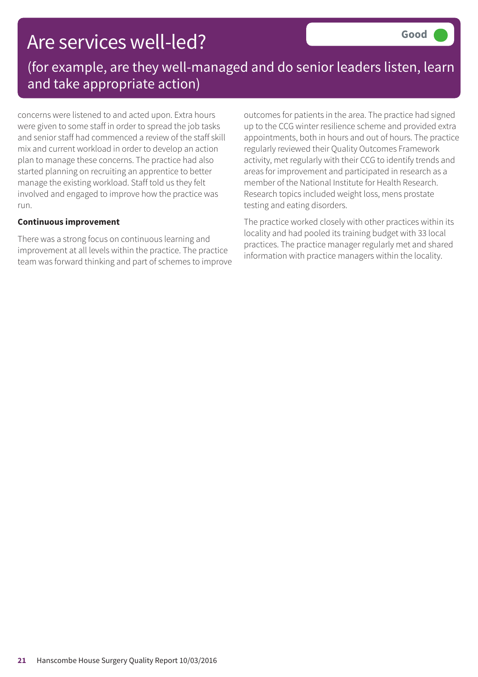## Are services well-led?

### (for example, are they well-managed and do senior leaders listen, learn and take appropriate action)

concerns were listened to and acted upon. Extra hours were given to some staff in order to spread the job tasks and senior staff had commenced a review of the staff skill mix and current workload in order to develop an action plan to manage these concerns. The practice had also started planning on recruiting an apprentice to better manage the existing workload. Staff told us they felt involved and engaged to improve how the practice was run.

#### **Continuous improvement**

There was a strong focus on continuous learning and improvement at all levels within the practice. The practice team was forward thinking and part of schemes to improve outcomes for patients in the area. The practice had signed up to the CCG winter resilience scheme and provided extra appointments, both in hours and out of hours. The practice regularly reviewed their Quality Outcomes Framework activity, met regularly with their CCG to identify trends and areas for improvement and participated in research as a member of the National Institute for Health Research. Research topics included weight loss, mens prostate testing and eating disorders.

The practice worked closely with other practices within its locality and had pooled its training budget with 33 local practices. The practice manager regularly met and shared information with practice managers within the locality.